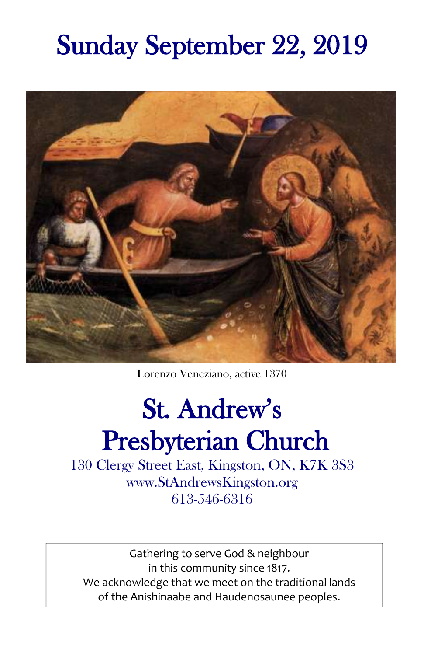# Sunday September 22, 2019



Lorenzo Veneziano, active 1370

# St. Andrew's Presbyterian Church

130 Clergy Street East, Kingston, ON, K7K 3S3 www.StAndrewsKingston.org 613-546-6316

Gathering to serve God & neighbour in this community since 1817. We acknowledge that we meet on the traditional lands of the Anishinaabe and Haudenosaunee peoples.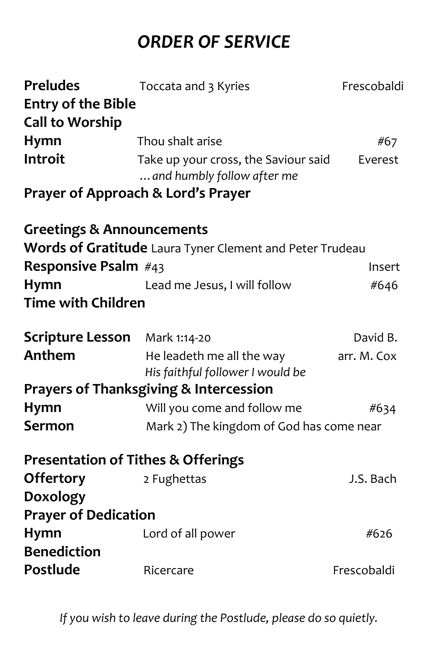# *ORDER OF SERVICE*

| <b>Preludes</b>                               | Toccata and 3 Kyries                                               | Frescobaldi |
|-----------------------------------------------|--------------------------------------------------------------------|-------------|
| <b>Entry of the Bible</b>                     |                                                                    |             |
| <b>Call to Worship</b>                        |                                                                    |             |
| Hymn                                          | Thou shalt arise                                                   | #67         |
| Introit                                       | Take up your cross, the Saviour said<br>and humbly follow after me | Everest     |
|                                               | Prayer of Approach & Lord's Prayer                                 |             |
| <b>Greetings &amp; Announcements</b>          |                                                                    |             |
|                                               | Words of Gratitude Laura Tyner Clement and Peter Trudeau           |             |
| Responsive Psalm #43                          |                                                                    | Insert      |
| <b>Hymn</b>                                   | Lead me Jesus, I will follow                                       | #646        |
| <b>Time with Children</b>                     |                                                                    |             |
| <b>Scripture Lesson</b>                       | Mark 1:14-20                                                       | David B.    |
| Anthem                                        | He leadeth me all the way                                          | arr. M. Cox |
|                                               | His faithful follower I would be                                   |             |
|                                               | <b>Prayers of Thanksgiving &amp; Intercession</b>                  |             |
| <b>Hymn</b>                                   | Will you come and follow me                                        | #634        |
| Sermon                                        | Mark 2) The kingdom of God has come near                           |             |
| <b>Presentation of Tithes &amp; Offerings</b> |                                                                    |             |
| <b>Offertory</b>                              | 2 Fughettas                                                        | J.S. Bach   |
| <b>Doxology</b>                               |                                                                    |             |
| <b>Prayer of Dedication</b>                   |                                                                    |             |
| Hymn                                          | Lord of all power                                                  | #626        |
| <b>Benediction</b>                            |                                                                    |             |
| Postlude                                      | Ricercare                                                          | Frescobaldi |
|                                               |                                                                    |             |

*If you wish to leave during the Postlude, please do so quietly.*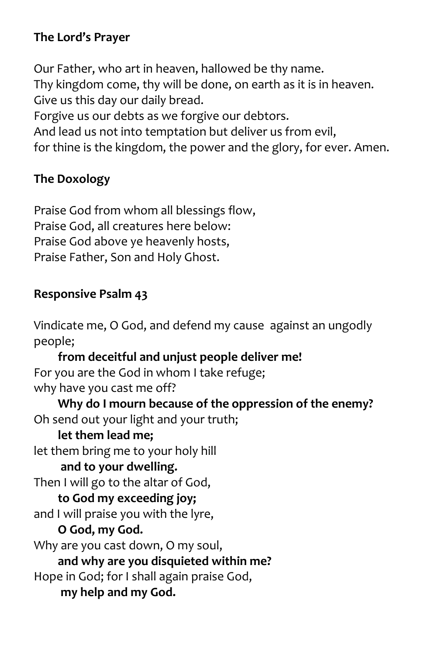# **The Lord's Prayer**

Our Father, who art in heaven, hallowed be thy name. Thy kingdom come, thy will be done, on earth as it is in heaven. Give us this day our daily bread. Forgive us our debts as we forgive our debtors. And lead us not into temptation but deliver us from evil, for thine is the kingdom, the power and the glory, for ever. Amen.

# **The Doxology**

Praise God from whom all blessings flow, Praise God, all creatures here below: Praise God above ye heavenly hosts, Praise Father, Son and Holy Ghost.

### **Responsive Psalm 43**

Vindicate me, O God, and defend my cause against an ungodly people; **from deceitful and unjust people deliver me!** For you are the God in whom I take refuge; why have you cast me off? **Why do I mourn because of the oppression of the enemy?** Oh send out your light and your truth;  **let them lead me;** let them bring me to your holy hill  **and to your dwelling.** Then I will go to the altar of God,  **to God my exceeding joy;** and I will praise you with the lyre,  **O God, my God.** Why are you cast down, O my soul,  **and why are you disquieted within me?** Hope in God; for I shall again praise God,  **my help and my God.**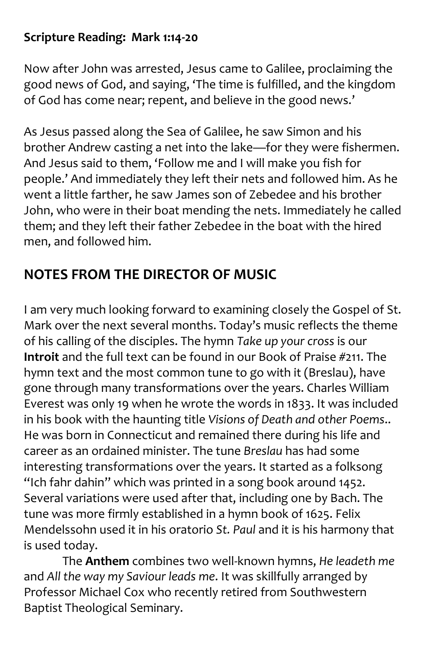# **Scripture Reading: Mark 1:14-20**

Now after John was arrested, Jesus came to Galilee, proclaiming the good news of God, and saying, 'The time is fulfilled, and the kingdom of God has come near; repent, and believe in the good news.'

As Jesus passed along the Sea of Galilee, he saw Simon and his brother Andrew casting a net into the lake—for they were fishermen. And Jesus said to them, 'Follow me and I will make you fish for people.' And immediately they left their nets and followed him. As he went a little farther, he saw James son of Zebedee and his brother John, who were in their boat mending the nets. Immediately he called them; and they left their father Zebedee in the boat with the hired men, and followed him.

# **NOTES FROM THE DIRECTOR OF MUSIC**

I am very much looking forward to examining closely the Gospel of St. Mark over the next several months. Today's music reflects the theme of his calling of the disciples. The hymn *Take up your cross* is our **Introit** and the full text can be found in our Book of Praise #211. The hymn text and the most common tune to go with it (Breslau), have gone through many transformations over the years. Charles William Everest was only 19 when he wrote the words in 1833. It was included in his book with the haunting title *Visions of Death and other Poems*.. He was born in Connecticut and remained there during his life and career as an ordained minister. The tune *Breslau* has had some interesting transformations over the years. It started as a folksong "Ich fahr dahin" which was printed in a song book around 1452. Several variations were used after that, including one by Bach. The tune was more firmly established in a hymn book of 1625. Felix Mendelssohn used it in his oratorio *St. Paul* and it is his harmony that is used today.

The **Anthem** combines two well-known hymns, *He leadeth me* and *All the way my Saviour leads me*. It was skillfully arranged by Professor Michael Cox who recently retired from Southwestern Baptist Theological Seminary.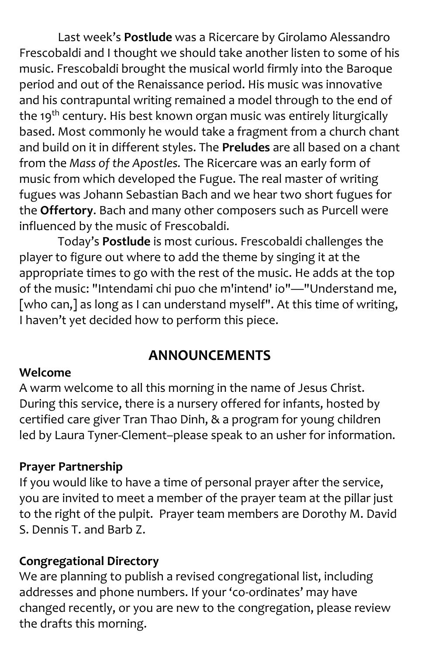Last week's **Postlude** was a Ricercare by Girolamo Alessandro Frescobaldi and I thought we should take another listen to some of his music. Frescobaldi brought the musical world firmly into the Baroque period and out of the Renaissance period. His music was innovative and his contrapuntal writing remained a model through to the end of the 19<sup>th</sup> century. His best known organ music was entirely liturgically based. Most commonly he would take a fragment from a church chant and build on it in different styles. The **Preludes** are all based on a chant from the *Mass of the Apostles.* The Ricercare was an early form of music from which developed the Fugue. The real master of writing fugues was Johann Sebastian Bach and we hear two short fugues for the **Offertory**. Bach and many other composers such as Purcell were influenced by the music of Frescobaldi.

Today's **Postlude** is most curious. Frescobaldi challenges the player to figure out where to add the theme by singing it at the appropriate times to go with the rest of the music. He adds at the top of the music: "Intendami chi puo che m'intend' io"—"Understand me, [who can,] as long as I can understand myself". At this time of writing, I haven't yet decided how to perform this piece.

# **ANNOUNCEMENTS**

#### **Welcome**

A warm welcome to all this morning in the name of Jesus Christ. During this service, there is a nursery offered for infants, hosted by certified care giver Tran Thao Dinh, & a program for young children led by Laura Tyner-Clement–please speak to an usher for information.

#### **Prayer Partnership**

If you would like to have a time of personal prayer after the service, you are invited to meet a member of the prayer team at the pillar just to the right of the pulpit. Prayer team members are Dorothy M. David S. Dennis T. and Barb Z.

#### **Congregational Directory**

We are planning to publish a revised congregational list, including addresses and phone numbers. If your 'co-ordinates' may have changed recently, or you are new to the congregation, please review the drafts this morning.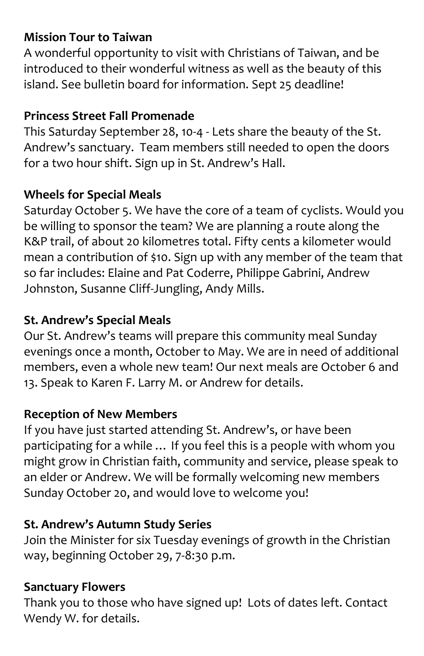# **Mission Tour to Taiwan**

A wonderful opportunity to visit with Christians of Taiwan, and be introduced to their wonderful witness as well as the beauty of this island. See bulletin board for information. Sept 25 deadline!

# **Princess Street Fall Promenade**

This Saturday September 28, 10-4 - Lets share the beauty of the St. Andrew's sanctuary. Team members still needed to open the doors for a two hour shift. Sign up in St. Andrew's Hall.

# **Wheels for Special Meals**

Saturday October 5. We have the core of a team of cyclists. Would you be willing to sponsor the team? We are planning a route along the K&P trail, of about 20 kilometres total. Fifty cents a kilometer would mean a contribution of \$10. Sign up with any member of the team that so far includes: Elaine and Pat Coderre, Philippe Gabrini, Andrew Johnston, Susanne Cliff-Jungling, Andy Mills.

# **St. Andrew's Special Meals**

Our St. Andrew's teams will prepare this community meal Sunday evenings once a month, October to May. We are in need of additional members, even a whole new team! Our next meals are October 6 and 13. Speak to Karen F. Larry M. or Andrew for details.

# **Reception of New Members**

If you have just started attending St. Andrew's, or have been participating for a while … If you feel this is a people with whom you might grow in Christian faith, community and service, please speak to an elder or Andrew. We will be formally welcoming new members Sunday October 20, and would love to welcome you!

# **St. Andrew's Autumn Study Series**

Join the Minister for six Tuesday evenings of growth in the Christian way, beginning October 29, 7-8:30 p.m.

#### **Sanctuary Flowers**

Thank you to those who have signed up! Lots of dates left. Contact Wendy W. for details.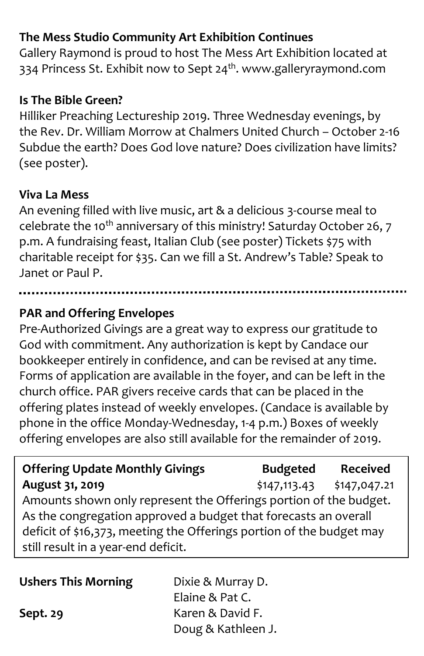# **The Mess Studio Community Art Exhibition Continues**

Gallery Raymond is proud to host The Mess Art Exhibition located at 334 Princess St. Exhibit now to Sept 24<sup>th</sup>. www.galleryraymond.com

### **Is The Bible Green?**

Hilliker Preaching Lectureship 2019. Three Wednesday evenings, by the Rev. Dr. William Morrow at Chalmers United Church – October 2-16 Subdue the earth? Does God love nature? Does civilization have limits? (see poster).

#### **Viva La Mess**

An evening filled with live music, art & a delicious 3-course meal to celebrate the 10<sup>th</sup> anniversary of this ministry! Saturday October 26, 7 p.m. A fundraising feast, Italian Club (see poster) Tickets \$75 with charitable receipt for \$35. Can we fill a St. Andrew's Table? Speak to Janet or Paul P.

# **PAR and Offering Envelopes**

Pre-Authorized Givings are a great way to express our gratitude to God with commitment. Any authorization is kept by Candace our bookkeeper entirely in confidence, and can be revised at any time. Forms of application are available in the foyer, and can be left in the church office. PAR givers receive cards that can be placed in the offering plates instead of weekly envelopes. (Candace is available by phone in the office Monday-Wednesday, 1-4 p.m.) Boxes of weekly offering envelopes are also still available for the remainder of 2019.

| <b>Offering Update Monthly Givings</b>                               | <b>Budgeted</b> | <b>Received</b> |
|----------------------------------------------------------------------|-----------------|-----------------|
| August 31, 2019                                                      | \$147,113.43    | \$147,047.21    |
| Amounts shown only represent the Offerings portion of the budget.    |                 |                 |
| As the congregation approved a budget that forecasts an overall      |                 |                 |
| deficit of \$16,373, meeting the Offerings portion of the budget may |                 |                 |
| still result in a year-end deficit.                                  |                 |                 |

| <b>Ushers This Morning</b> | Dixie & Murray D.  |
|----------------------------|--------------------|
|                            | Elaine & Pat C.    |
| Sept. 29                   | Karen & David F.   |
|                            | Doug & Kathleen J. |